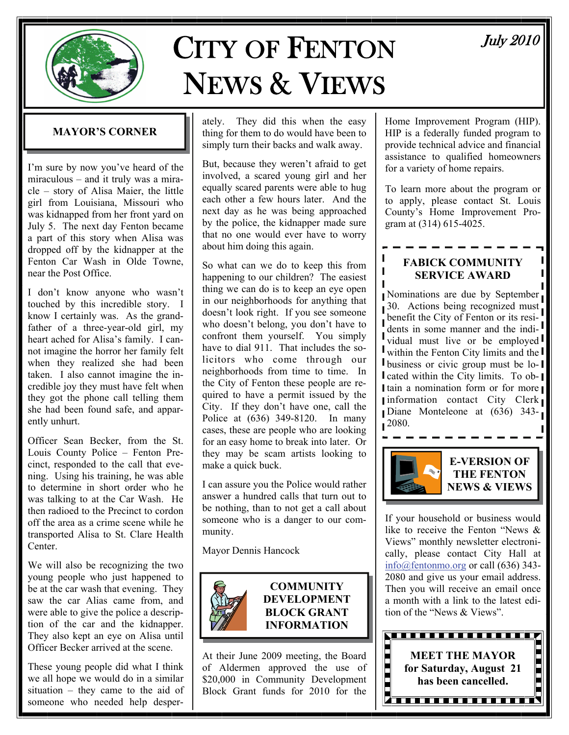

# CITY OF FENTON NEWS & VIEWS

#### **MAYOR'S CORNER**

I'm sure by now you've heard of the miraculous – and it truly was a miracle – story of Alisa Maier, the little girl from Louisiana, Missouri who was kidnapped from her front yard on July 5. The next day Fenton became a part of this story when Alisa was dropped off by the kidnapper at the Fenton Car Wash in Olde Towne, near the Post Office.

I don't know anyone who wasn't touched by this incredible story. I know I certainly was. As the grandfather of a three-year-old girl, my heart ached for Alisa's family. I cannot imagine the horror her family felt when they realized she had been taken. I also cannot imagine the incredible joy they must have felt when they got the phone call telling them she had been found safe, and apparently unhurt.

Officer Sean Becker, from the St. Louis County Police – Fenton Precinct, responded to the call that evening. Using his training, he was able to determine in short order who he was talking to at the Car Wash. He then radioed to the Precinct to cordon off the area as a crime scene while he transported Alisa to St. Clare Health Center.

We will also be recognizing the two young people who just happened to be at the car wash that evening. They saw the car Alias came from, and were able to give the police a description of the car and the kidnapper. They also kept an eye on Alisa until Officer Becker arrived at the scene.

These young people did what I think we all hope we would do in a similar situation – they came to the aid of someone who needed help desperately. They did this when the easy thing for them to do would have been to simply turn their backs and walk away.

But, because they weren't afraid to get involved, a scared young girl and her equally scared parents were able to hug each other a few hours later. And the next day as he was being approached by the police, the kidnapper made sure that no one would ever have to worry about him doing this again.

So what can we do to keep this from happening to our children? The easiest thing we can do is to keep an eye open in our neighborhoods for anything that doesn't look right. If you see someone who doesn't belong, you don't have to confront them yourself. You simply have to dial 911. That includes the solicitors who come through our neighborhoods from time to time. In the City of Fenton these people are required to have a permit issued by the City. If they don't have one, call the Police at (636) 349-8120. In many cases, these are people who are looking for an easy home to break into later. Or they may be scam artists looking to make a quick buck.

I can assure you the Police would rather answer a hundred calls that turn out to be nothing, than to not get a call about someone who is a danger to our community.

Mayor Dennis Hancock



#### **COMMUNITY DEVELOPMENT BLOCK GRANT INFORMATION**

At their June 2009 meeting, the Board of Aldermen approved the use of \$20,000 in Community Development Block Grant funds for 2010 for the

Home Improvement Program (HIP). HIP is a federally funded program to provide technical advice and financial assistance to qualified homeowners for a variety of home repairs.

To learn more about the program or to apply, please contact St. Louis County's Home Improvement Program at (314) 615-4025.

#### **FABICK COMMUNITY SERVICE AWARD**

П

Nominations are due by September 30. Actions being recognized must benefit the City of Fenton or its residents in some manner and the indi- $\int$  vidual must live or be employed within the Fenton City limits and the **I** business or civic group must be lo-1 I cated within the City limits. To ob-I tain a nomination form or for more Information contact City Clerk Diane Monteleone at (636) 343-  $1^{2080}$ .



If your household or business would like to receive the Fenton "News & Views" monthly newsletter electronically, please contact City Hall at [info@fentonmo.org](mailto:info@fentonmo.org?subject=E-newsletter) or call (636) 343- 2080 and give us your email address. Then you will receive an email once a month with a link to the latest edition of the "News & Views".



# July 2010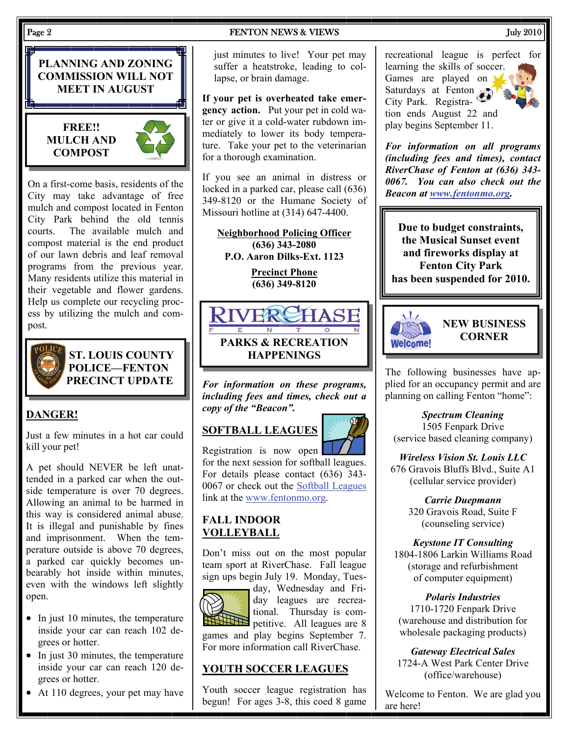#### Page 2 **FENTON NEWS & VIEWS** July 2010

**PLANNING AND ZONING COMMISSION WILL NOT MEET IN AUGUST** 

#### **FREE!! MULCH AND COMPOST**



On a first-come basis, residents of the City may take advantage of free mulch and compost located in Fenton City Park behind the old tennis courts. The available mulch and compost material is the end product of our lawn debris and leaf removal programs from the previous year. Many residents utilize this material in their vegetable and flower gardens. Help us complete our recycling process by utilizing the mulch and compost.



**ST. LOUIS COUNTY POLICE—FENTON PRECINCT UPDATE** 

### **DANGER!**

Just a few minutes in a hot car could kill your pet!

A pet should NEVER be left unattended in a parked car when the outside temperature is over 70 degrees. Allowing an animal to be harmed in this way is considered animal abuse. It is illegal and punishable by fines and imprisonment. When the temperature outside is above 70 degrees, a parked car quickly becomes unbearably hot inside within minutes, even with the windows left slightly open.

- In just 10 minutes, the temperature inside your car can reach 102 degrees or hotter.
- In just 30 minutes, the temperature inside your car can reach 120 degrees or hotter.
- At 110 degrees, your pet may have

just minutes to live! Your pet may suffer a heatstroke, leading to collapse, or brain damage.

**If your pet is overheated take emergency action.** Put your pet in cold water or give it a cold-water rubdown immediately to lower its body temperature. Take your pet to the veterinarian for a thorough examination.

If you see an animal in distress or locked in a parked car, please call (636) 349-8120 or the Humane Society of Missouri hotline at (314) 647-4400.

**Neighborhood Policing Officer (636) 343-2080 P.O. Aaron Dilks-Ext. 1123** 

> **Precinct Phone (636) 349-8120**



*For information on these programs, including fees and times, check out a copy of the "Beacon".* 

## **SOFTBALL LEAGUES**



Registration is now open for the next session for softball leagues. For details please contact (636) 343- 0067 or check out the [Softball Leagues](http://www.fentonmo.org/index.aspx?NID=900) link at the [www.fentonmo.org.](http://www.fentonmo.org)

#### **FALL INDOOR VOLLEYBALL**

Don't miss out on the most popular team sport at RiverChase. Fall league sign ups begin July 19. Monday, Tues-



day, Wednesday and Friday leagues are recreational. Thursday is competitive. All leagues are 8 games and play begins September 7. For more information call RiverChase.

#### **YOUTH SOCCER LEAGUES**

Youth soccer league registration has begun! For ages 3-8, this coed 8 game recreational league is perfect for learning the skills of soccer. Games are played on Saturdays at Fenton City Park. Registration ends August 22 and play begins September 11.

*For information on all programs (including fees and times), contact RiverChase of Fenton at (636) 343- 0067. You can also check out the Beacon at [www.fentonmo.org](http://www.fentonmo.org).*

**Due to budget constraints, the Musical Sunset event and fireworks display at Fenton City Park has been suspended for 2010.** 



#### **NEW BUSINESS CORNER**

The following businesses have applied for an occupancy permit and are planning on calling Fenton "home":

*Spectrum Cleaning*  1505 Fenpark Drive (service based cleaning company)

*Wireless Vision St. Louis LLC*  676 Gravois Bluffs Blvd., Suite A1 (cellular service provider)

> *Carrie Duepmann*  320 Gravois Road, Suite F (counseling service)

*Keystone IT Consulting*  1804-1806 Larkin Williams Road (storage and refurbishment of computer equipment)

*Polaris Industries*  1710-1720 Fenpark Drive (warehouse and distribution for wholesale packaging products)

*Gateway Electrical Sales*  1724-A West Park Center Drive (office/warehouse)

Welcome to Fenton. We are glad you are here!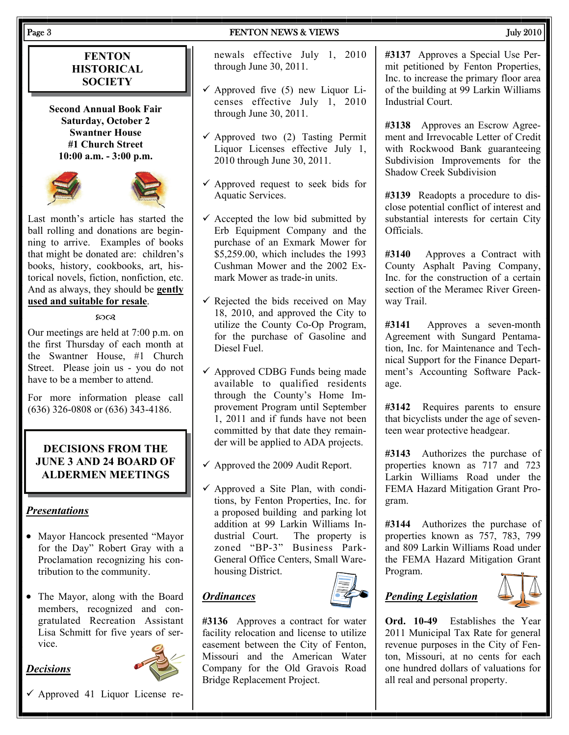#### Page 3 FENTON NEWS & VIEWS 3 FENTON NEWS 3 FENTON NEWS 3 FENTON NEWS 3 FENTON NEWS 3 FEMALE 3 FENTON NEWS 3 FEMALE 3

#### **FENTON HISTORICAL SOCIETY**

**Second Annual Book Fair Saturday, October 2 Swantner House #1 Church Street 10:00 a.m. - 3:00 p.m.** 





Last month's article has started the ball rolling and donations are beginning to arrive. Examples of books that might be donated are: children's books, history, cookbooks, art, historical novels, fiction, nonfiction, etc. And as always, they should be **gently used and suitable for resale**.

#### മാര

Our meetings are held at 7:00 p.m. on the first Thursday of each month at the Swantner House, #1 Church Street. Please join us - you do not have to be a member to attend.

For more information please call (636) 326-0808 or (636) 343-4186.

#### **DECISIONS FROM THE JUNE 3 AND 24 BOARD OF ALDERMEN MEETINGS**

#### *Presentations*

- Mayor Hancock presented "Mayor for the Day" Robert Gray with a Proclamation recognizing his contribution to the community.
- The Mayor, along with the Board members, recognized and congratulated Recreation Assistant Lisa Schmitt for five years of service.

#### *Decisions*



 $\checkmark$  Approved 41 Liquor License re-

newals effective July 1, 2010 through June 30, 2011.

- $\checkmark$  Approved five (5) new Liquor Licenses effective July 1, 2010 through June 30, 2011.
- $\checkmark$  Approved two (2) Tasting Permit Liquor Licenses effective July 1, 2010 through June 30, 2011.
- $\checkmark$  Approved request to seek bids for Aquatic Services.
- $\checkmark$  Accepted the low bid submitted by Erb Equipment Company and the purchase of an Exmark Mower for \$5,259.00, which includes the 1993 Cushman Mower and the 2002 Exmark Mower as trade-in units.
- $\checkmark$  Rejected the bids received on May 18, 2010, and approved the City to utilize the County Co-Op Program, for the purchase of Gasoline and Diesel Fuel.
- $\checkmark$  Approved CDBG Funds being made available to qualified residents through the County's Home Improvement Program until September 1, 2011 and if funds have not been committed by that date they remainder will be applied to ADA projects.
- $\checkmark$  Approved the 2009 Audit Report.
- $\checkmark$  Approved a Site Plan, with conditions, by Fenton Properties, Inc. for a proposed building and parking lot addition at 99 Larkin Williams Industrial Court. The property is zoned "BP-3" Business Park-General Office Centers, Small Warehousing District.

#### *Ordinances*



**#3136** Approves a contract for water facility relocation and license to utilize easement between the City of Fenton, Missouri and the American Water Company for the Old Gravois Road Bridge Replacement Project.

#### **#3137** Approves a Special Use Permit petitioned by Fenton Properties, Inc. to increase the primary floor area of the building at 99 Larkin Williams Industrial Court.

**#3138** Approves an Escrow Agreement and Irrevocable Letter of Credit with Rockwood Bank guaranteeing Subdivision Improvements for the Shadow Creek Subdivision

**#3139** Readopts a procedure to disclose potential conflict of interest and substantial interests for certain City Officials.

**#3140** Approves a Contract with County Asphalt Paving Company, Inc. for the construction of a certain section of the Meramec River Greenway Trail.

**#3141** Approves a seven-month Agreement with Sungard Pentamation, Inc. for Maintenance and Technical Support for the Finance Department's Accounting Software Package.

**#3142** Requires parents to ensure that bicyclists under the age of seventeen wear protective headgear.

**#3143** Authorizes the purchase of properties known as 717 and 723 Larkin Williams Road under the FEMA Hazard Mitigation Grant Program.

**#3144** Authorizes the purchase of properties known as 757, 783, 799 and 809 Larkin Williams Road under the FEMA Hazard Mitigation Grant Program.

# *Pending Legislation*



**Ord. 10-49** Establishes the Year 2011 Municipal Tax Rate for general revenue purposes in the City of Fenton, Missouri, at no cents for each one hundred dollars of valuations for all real and personal property.